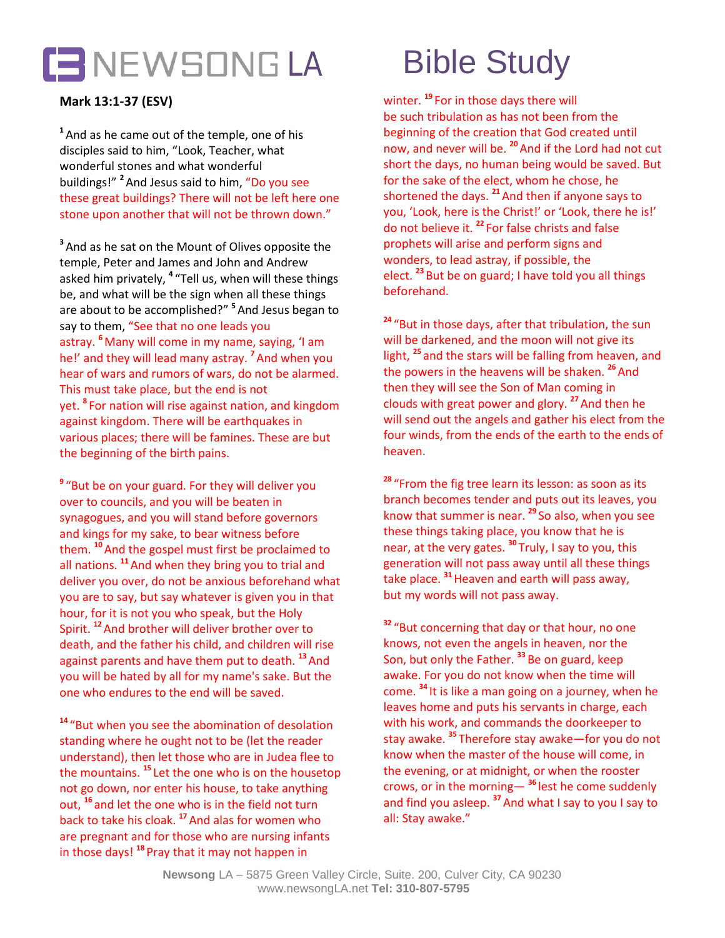

## **Mark 13:1-37 (ESV)**

**<sup>1</sup>**And as he came out of the temple, one of his disciples said to him, "Look, Teacher, what wonderful stones and what wonderful buildings!" **<sup>2</sup>** And Jesus said to him, "Do you see these great buildings? There will not be left here one stone upon another that will not be thrown down."

**<sup>3</sup>**And as he sat on the Mount of Olives opposite the temple, Peter and James and John and Andrew asked him privately, **<sup>4</sup>** "Tell us, when will these things be, and what will be the sign when all these things are about to be accomplished?" **<sup>5</sup>** And Jesus began to say to them, "See that no one leads you astray. **<sup>6</sup>** Many will come in my name, saying, 'I am he!' and they will lead many astray. **<sup>7</sup>**And when you hear of wars and rumors of wars, do not be alarmed. This must take place, but the end is not yet. **<sup>8</sup>** For nation will rise against nation, and kingdom against kingdom. There will be earthquakes in various places; there will be famines. These are but the beginning of the birth pains.

**<sup>9</sup>** "But be on your guard. For they will deliver you over to councils, and you will be beaten in synagogues, and you will stand before governors and kings for my sake, to bear witness before them. **<sup>10</sup>**And the gospel must first be proclaimed to all nations. **<sup>11</sup>**And when they bring you to trial and deliver you over, do not be anxious beforehand what you are to say, but say whatever is given you in that hour, for it is not you who speak, but the Holy Spirit. **<sup>12</sup>**And brother will deliver brother over to death, and the father his child, and children will rise against parents and have them put to death. **<sup>13</sup>**And you will be hated by all for my name's sake. But the one who endures to the end will be saved.

**<sup>14</sup>** "But when you see the abomination of desolation standing where he ought not to be (let the reader understand), then let those who are in Judea flee to the mountains. **<sup>15</sup>** Let the one who is on the housetop not go down, nor enter his house, to take anything out, **<sup>16</sup>** and let the one who is in the field not turn back to take his cloak. **<sup>17</sup>**And alas for women who are pregnant and for those who are nursing infants in those days! **<sup>18</sup>** Pray that it may not happen in

winter. **<sup>19</sup>** For in those days there will be such tribulation as has not been from the beginning of the creation that God created until now, and never will be. **<sup>20</sup>**And if the Lord had not cut short the days, no human being would be saved. But for the sake of the elect, whom he chose, he shortened the days. **<sup>21</sup>**And then if anyone says to you, 'Look, here is the Christ!' or 'Look, there he is!' do not believe it. **<sup>22</sup>** For false christs and false prophets will arise and perform signs and wonders, to lead astray, if possible, the elect. **<sup>23</sup>** But be on guard; I have told you all things beforehand.

**<sup>24</sup>** "But in those days, after that tribulation, the sun will be darkened, and the moon will not give its light, **<sup>25</sup>** and the stars will be falling from heaven, and the powers in the heavens will be shaken.<sup>26</sup> And then they will see the Son of Man coming in clouds with great power and glory. **<sup>27</sup>**And then he will send out the angels and gather his elect from the four winds, from the ends of the earth to the ends of heaven.

**<sup>28</sup>** "From the fig tree learn its lesson: as soon as its branch becomes tender and puts out its leaves, you know that summer is near. **<sup>29</sup>** So also, when you see these things taking place, you know that he is near, at the very gates. **<sup>30</sup>** Truly, I say to you, this generation will not pass away until all these things take place. **<sup>31</sup>**Heaven and earth will pass away, but my words will not pass away.

**<sup>32</sup>** "But concerning that day or that hour, no one knows, not even the angels in heaven, nor the Son, but only the Father. **<sup>33</sup>** Be on guard, keep awake. For you do not know when the time will come. **<sup>34</sup>** It is like a man going on a journey, when he leaves home and puts his servants in charge, each with his work, and commands the doorkeeper to stay awake. **<sup>35</sup>** Therefore stay awake—for you do not know when the master of the house will come, in the evening, or at midnight, or when the rooster crows, or in the morning— **<sup>36</sup>** lest he come suddenly and find you asleep. **<sup>37</sup>**And what I say to you I say to all: Stay awake."